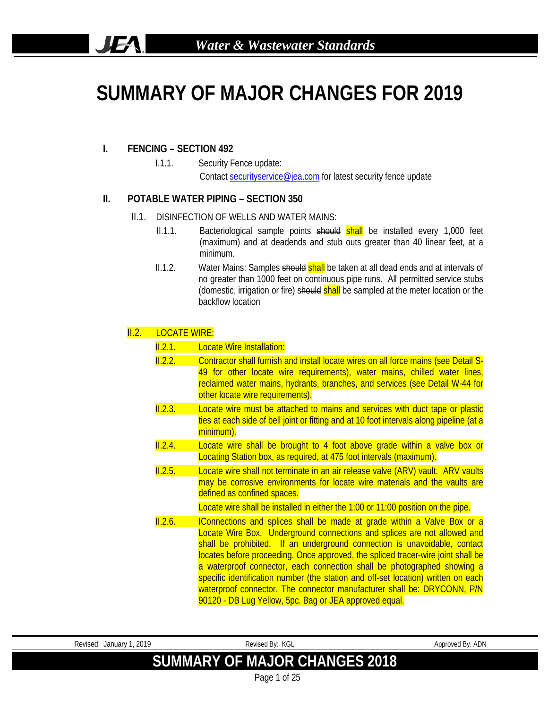# **SUMMARY OF MAJOR CHANGES FOR 2019**

# **I. FENCING – SECTION 492**

**JEA** 

I.1.1. Security Fence update: Contact [securityservice@jea.com](mailto:securityservice@jea.com) for latest security fence update

# **II. POTABLE WATER PIPING – SECTION 350**

- II.1. DISINFECTION OF WELLS AND WATER MAINS:
	- II.1.1. Bacteriological sample points should shall be installed every 1,000 feet (maximum) and at deadends and stub outs greater than 40 linear feet, at a minimum.
	- II.1.2. Water Mains: Samples should shall be taken at all dead ends and at intervals of no greater than 1000 feet on continuous pipe runs. All permitted service stubs (domestic, irrigation or fire) should shall be sampled at the meter location or the backflow location

# II.2. LOCATE WIRE:

#### **II.2.1.** Locate Wire Installation:

- II.2.2. Contractor shall furnish and install locate wires on all force mains (see Detail S-49 for other locate wire requirements), water mains, chilled water lines, reclaimed water mains, hydrants, branches, and services (see Detail W-44 for other locate wire requirements).
- II.2.3. Locate wire must be attached to mains and services with duct tape or plastic ties at each side of bell joint or fitting and at 10 foot intervals along pipeline (at a minimum).
- II.2.4. Locate wire shall be brought to 4 foot above grade within a valve box or Locating Station box, as required, at 475 foot intervals (maximum).
- II.2.5. Locate wire shall not terminate in an air release valve (ARV) vault. ARV vaults may be corrosive environments for locate wire materials and the vaults are defined as confined spaces.

Locate wire shall be installed in either the 1:00 or 11:00 position on the pipe.

II.2.6. IConnections and splices shall be made at grade within a Valve Box or a Locate Wire Box. Underground connections and splices are not allowed and shall be prohibited. If an underground connection is unavoidable, contact locates before proceeding. Once approved, the spliced tracer-wire joint shall be a waterproof connector, each connection shall be photographed showing a specific identification number (the station and off-set location) written on each waterproof connector. The connector manufacturer shall be: DRYCONN, P/N 90120 - DB Lug Yellow, 5pc. Bag or JEA approved equal.

| . 2019<br>Revised:<br>Januarv | Revised By: KGL               | Approved By: ADN |
|-------------------------------|-------------------------------|------------------|
|                               | SUMMARY OF MAJOR CHANGES 2018 |                  |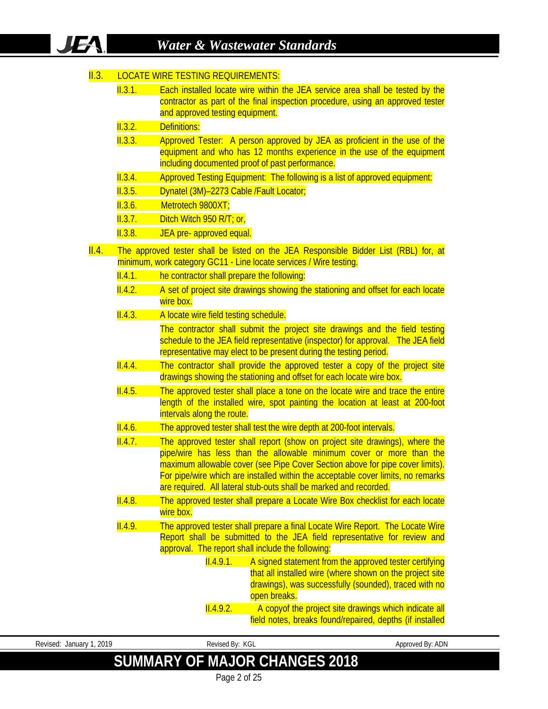# **II.3. LOCATE WIRE TESTING REQUIREMENTS:**

- II.3.1. Each installed locate wire within the JEA service area shall be tested by the contractor as part of the final inspection procedure, using an approved tester and approved testing equipment.
- II.3.2. Definitions:
- II.3.3. Approved Tester: A person approved by JEA as proficient in the use of the equipment and who has 12 months experience in the use of the equipment including documented proof of past performance.
- II.3.4. Approved Testing Equipment: The following is a list of approved equipment:
- II.3.5. Dynatel (3M)–2273 Cable /Fault Locator;
- II.3.6. Metrotech 9800XT;
- II.3.7. Ditch Witch 950 R/T; or,
- II.3.8. JEA pre- approved equal.
- II.4. The approved tester shall be listed on the JEA Responsible Bidder List (RBL) for, at minimum, work category GC11 - Line locate services / Wire testing.
	- II.4.1. he contractor shall prepare the following:
	- II.4.2. A set of project site drawings showing the stationing and offset for each locate wire box.
	- II.4.3. A locate wire field testing schedule.

The contractor shall submit the project site drawings and the field testing schedule to the JEA field representative (inspector) for approval. The JEA field representative may elect to be present during the testing period.

- II.4.4. The contractor shall provide the approved tester a copy of the project site drawings showing the stationing and offset for each locate wire box.
- II.4.5. The approved tester shall place a tone on the locate wire and trace the entire length of the installed wire, spot painting the location at least at 200-foot intervals along the route.
- II.4.6. The approved tester shall test the wire depth at 200-foot intervals.
- II.4.7. The approved tester shall report (show on project site drawings), where the pipe/wire has less than the allowable minimum cover or more than the maximum allowable cover (see Pipe Cover Section above for pipe cover limits). For pipe/wire which are installed within the acceptable cover limits, no remarks are required. All lateral stub-outs shall be marked and recorded.
- II.4.8. The approved tester shall prepare a Locate Wire Box checklist for each locate wire box.
- II.4.9. The approved tester shall prepare a final Locate Wire Report. The Locate Wire Report shall be submitted to the JEA field representative for review and approval. The report shall include the following:
	- II.4.9.1. A signed statement from the approved tester certifying that all installed wire (where shown on the project site drawings), was successfully (sounded), traced with no open breaks.
	- II.4.9.2. A copyof the project site drawings which indicate all field notes, breaks found/repaired, depths (if installed

Revised: January 1, 2019 **Revised By: ADN** Revised By: KGL **Approved By: ADN** Approved By: ADN **SUMMARY OF MAJOR CHANGES 2018**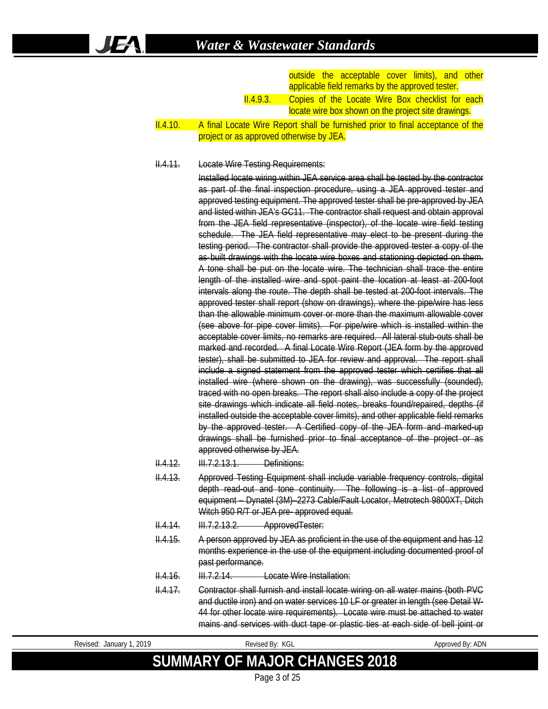|           | outside the acceptable cover limits), and other     |  |
|-----------|-----------------------------------------------------|--|
|           | applicable field remarks by the approved tester.    |  |
| II.4.9.3. | Copies of the Locate Wire Box checklist for each    |  |
|           | locate wire box shown on the project site drawings. |  |

II.4.10. A final Locate Wire Report shall be furnished prior to final acceptance of the project or as approved otherwise by JEA.

#### II.4.11. Locate Wire Testing Requirements:

Installed locate wiring within JEA service area shall be tested by the contractor as part of the final inspection procedure, using a JEA approved tester and approved testing equipment. The approved tester shall be pre-approved by JEA and listed within JEA's GC11. The contractor shall request and obtain approval from the JEA field representative (inspector), of the locate wire field testing schedule. The JEA field representative may elect to be present during the testing period. The contractor shall provide the approved tester a copy of the as‐built drawings with the locate wire boxes and stationing depicted on them. A tone shall be put on the locate wire. The technician shall trace the entire length of the installed wire and spot paint the location at least at 200-foot intervals along the route. The depth shall be tested at 200-foot intervals. The approved tester shall report (show on drawings), where the pipe/wire has less than the allowable minimum cover or more than the maximum allowable cover (see above for pipe cover limits). For pipe/wire which is installed within the acceptable cover limits, no remarks are required. All lateral stub-outs shall be marked and recorded. A final Locate Wire Report (JEA form by the approved tester), shall be submitted to JEA for review and approval. The report shall include a signed statement from the approved tester which certifies that all installed wire (where shown on the drawing), was successfully (sounded), traced with no open breaks. The report shall also include a copy of the project site drawings which indicate all field notes, breaks found/repaired, depths (if installed outside the acceptable cover limits), and other applicable field remarks by the approved tester. A Certified copy of the JEA form and marked-up drawings shall be furnished prior to final acceptance of the project or as approved otherwise by JEA.

- II.4.12. III.7.2.13.1. Definitions:
- II.4.13. Approved Testing Equipment shall include variable frequency controls, digital depth read-out and tone continuity. The following is a list of approved equipment – Dynatel (3M)–2273 Cable/Fault Locator, Metrotech 9800XT, Ditch Witch 950 R/T or JEA pre-approved equal.
- II.4.14. III.7.2.13.2. ApprovedTester:
- II.4.15. A person approved by JEA as proficient in the use of the equipment and has 12 months experience in the use of the equipment including documented proof of past performance.
- II.4.16. III.7.2.14. Locate Wire Installation:
- II.4.17. Contractor shall furnish and install locate wiring on all water mains (both PVC and ductile iron) and on water services 10 LF or greater in length (see Detail W-44 for other locate wire requirements). Locate wire must be attached to water mains and services with duct tape or plastic ties at each side of bell joint or

| Revised: January 1, 2019 | Revised By: KGL               | Approved By: ADN |
|--------------------------|-------------------------------|------------------|
|                          | SUMMARY OF MAJOR CHANGES 2018 |                  |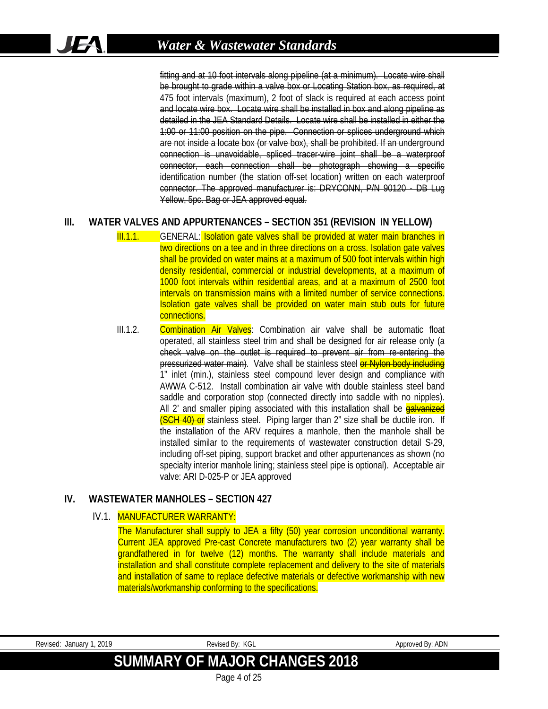fitting and at 10 foot intervals along pipeline (at a minimum). Locate wire shall be brought to grade within a valve box or Locating Station box, as required, at 475 foot intervals (maximum), 2 foot of slack is required at each access point and locate wire box. Locate wire shall be installed in box and along pipeline as detailed in the JEA Standard Details. Locate wire shall be installed in either the 1:00 or 11:00 position on the pipe. Connection or splices underground which are not inside a locate box (or valve box), shall be prohibited. If an underground connection is unavoidable, spliced tracer-wire joint shall be a waterproof connector, each connection shall be photograph showing a specific identification number (the station off-set location) written on each waterproof connector. The approved manufacturer is: DRYCONN, P/N 90120 - DB Lug Yellow, 5pc. Bag or JEA approved equal.

# **III. WATER VALVES AND APPURTENANCES – SECTION 351 (REVISION IN YELLOW)**

- III.1.1. GENERAL: Isolation gate valves shall be provided at water main branches in two directions on a tee and in three directions on a cross. Isolation gate valves shall be provided on water mains at a maximum of 500 foot intervals within high density residential, commercial or industrial developments, at a maximum of 1000 foot intervals within residential areas, and at a maximum of 2500 foot intervals on transmission mains with a limited number of service connections. Isolation gate valves shall be provided on water main stub outs for future connections.
- III.1.2. Combination Air Valves: Combination air valve shall be automatic float operated, all stainless steel trim and shall be designed for air release only (a check valve on the outlet is required to prevent air from re-entering the pressurized water main). Valve shall be stainless steel or Nylon body including 1" inlet (min.), stainless steel compound lever design and compliance with AWWA C-512. Install combination air valve with double stainless steel band saddle and corporation stop (connected directly into saddle with no nipples). All 2' and smaller piping associated with this installation shall be **galvanized (SCH 40) or** stainless steel. Piping larger than 2" size shall be ductile iron. If the installation of the ARV requires a manhole, then the manhole shall be installed similar to the requirements of wastewater construction detail S-29, including off-set piping, support bracket and other appurtenances as shown (no specialty interior manhole lining; stainless steel pipe is optional). Acceptable air valve: ARI D-025-P or JEA approved

# **IV. WASTEWATER MANHOLES – SECTION 427**

# IV.1. MANUFACTURER WARRANTY:

The Manufacturer shall supply to JEA a fifty (50) year corrosion unconditional warranty. Current JEA approved Pre-cast Concrete manufacturers two (2) year warranty shall be grandfathered in for twelve (12) months. The warranty shall include materials and installation and shall constitute complete replacement and delivery to the site of materials and installation of same to replace defective materials or defective workmanship with new materials/workmanship conforming to the specifications.

| 2019<br>Revised:<br>January: | KGL<br>Revised By:                   | ADN<br>Approved By: |
|------------------------------|--------------------------------------|---------------------|
|                              | <b>SUMMARY OF MAJOR CHANGES 2018</b> |                     |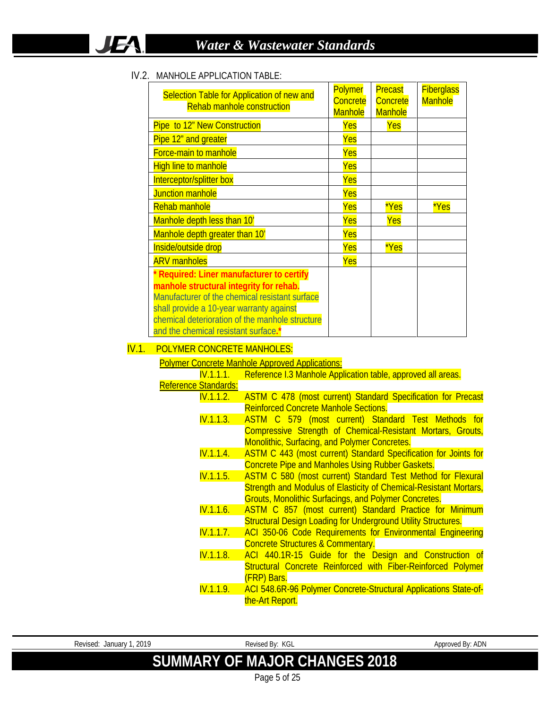# IV.2. MANHOLE APPLICATION TABLE:

| Selection Table for Application of new and<br>Rehab manhole construction                                                                                                                                                                                                    | Polymer<br>Concrete<br><b>Manhole</b> | <b>Precast</b><br>Concrete<br><b>Manhole</b> | <b>Fiberglass</b><br><b>Manhole</b> |
|-----------------------------------------------------------------------------------------------------------------------------------------------------------------------------------------------------------------------------------------------------------------------------|---------------------------------------|----------------------------------------------|-------------------------------------|
| Pipe to 12" New Construction                                                                                                                                                                                                                                                | Yes                                   | Yes                                          |                                     |
| Pipe 12" and greater                                                                                                                                                                                                                                                        | Yes                                   |                                              |                                     |
| <b>Force-main to manhole</b>                                                                                                                                                                                                                                                | Yes                                   |                                              |                                     |
| <b>High line to manhole</b>                                                                                                                                                                                                                                                 | Yes                                   |                                              |                                     |
| Interceptor/splitter box                                                                                                                                                                                                                                                    | Yes                                   |                                              |                                     |
| <b>Junction manhole</b>                                                                                                                                                                                                                                                     | Yes                                   |                                              |                                     |
| Rehab manhole                                                                                                                                                                                                                                                               | Yes                                   | *Yes                                         | *Yes                                |
| Manhole depth less than 10'                                                                                                                                                                                                                                                 | Yes                                   | Yes                                          |                                     |
| Manhole depth greater than 10'                                                                                                                                                                                                                                              | Yes                                   |                                              |                                     |
| Inside/outside drop                                                                                                                                                                                                                                                         | Yes                                   | *Yes                                         |                                     |
| <b>ARV</b> manholes                                                                                                                                                                                                                                                         | Yes                                   |                                              |                                     |
| Required: Liner manufacturer to certify<br>manhole structural integrity for rehab.<br>Manufacturer of the chemical resistant surface<br>shall provide a 10-year warranty against<br>chemical deterioration of the manhole structure<br>and the chemical resistant surface.* |                                       |                                              |                                     |

#### IV.1. POLYMER CONCRETE MANHOLES:

Polymer Concrete Manhole Approved Applications:

|                             | <b>IV.1.1.1.</b> Reference I.3 Manhole Application table, approved all areas. |  |  |  |  |
|-----------------------------|-------------------------------------------------------------------------------|--|--|--|--|
| <b>Reference Standards:</b> |                                                                               |  |  |  |  |
|                             | $\mathbf{0}$                                                                  |  |  |  |  |

- IV.1.1.2. ASTM C 478 (most current) Standard Specification for Precast Reinforced Concrete Manhole Sections.
	- IV.1.1.3. ASTM C 579 (most current) Standard Test Methods for Compressive Strength of Chemical-Resistant Mortars, Grouts, Monolithic, Surfacing, and Polymer Concretes.
	- IV.1.1.4. ASTM C 443 (most current) Standard Specification for Joints for Concrete Pipe and Manholes Using Rubber Gaskets.
	- IV.1.1.5. ASTM C 580 (most current) Standard Test Method for Flexural Strength and Modulus of Elasticity of Chemical-Resistant Mortars, Grouts, Monolithic Surfacings, and Polymer Concretes.
	- IV.1.1.6. ASTM C 857 (most current) Standard Practice for Minimum Structural Design Loading for Underground Utility Structures.
	- IV.1.1.7. ACI 350-06 Code Requirements for Environmental Engineering Concrete Structures & Commentary.
	- IV.1.1.8. ACI 440.1R-15 Guide for the Design and Construction of Structural Concrete Reinforced with Fiber-Reinforced Polymer (FRP) Bars.
	- IV.1.1.9. ACI 548.6R-96 Polymer Concrete-Structural Applications State-ofthe-Art Report.

| Revised: January 1, 2019 |  |  |  |
|--------------------------|--|--|--|
|                          |  |  |  |

Revised By: KGL Approved By: ADN

# **SUMMARY OF MAJOR CHANGES 2018**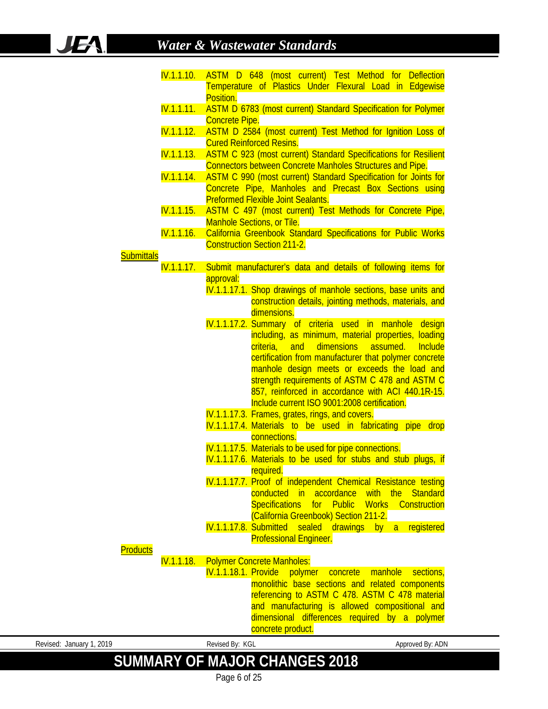|                          | IV.1.1.10. | ASTM D 648 (most current) Test Method for Deflection<br>Temperature of Plastics Under Flexural Load in Edgewise<br>Position.                                                                                                                                                                                                                                                                                                   |
|--------------------------|------------|--------------------------------------------------------------------------------------------------------------------------------------------------------------------------------------------------------------------------------------------------------------------------------------------------------------------------------------------------------------------------------------------------------------------------------|
|                          | IV.1.1.11. | ASTM D 6783 (most current) Standard Specification for Polymer<br><b>Concrete Pipe.</b>                                                                                                                                                                                                                                                                                                                                         |
|                          | IV.1.1.12. | ASTM D 2584 (most current) Test Method for Ignition Loss of<br><b>Cured Reinforced Resins.</b>                                                                                                                                                                                                                                                                                                                                 |
|                          | IV.1.1.13. | <b>ASTM C 923 (most current) Standard Specifications for Resilient</b><br><b>Connectors between Concrete Manholes Structures and Pipe.</b>                                                                                                                                                                                                                                                                                     |
|                          | IV.1.1.14. | ASTM C 990 (most current) Standard Specification for Joints for<br>Concrete Pipe, Manholes and Precast Box Sections using<br><b>Preformed Flexible Joint Sealants.</b>                                                                                                                                                                                                                                                         |
|                          | IV.1.1.15. | ASTM C 497 (most current) Test Methods for Concrete Pipe,<br><b>Manhole Sections, or Tile.</b>                                                                                                                                                                                                                                                                                                                                 |
|                          | IV.1.1.16. | California Greenbook Standard Specifications for Public Works<br><b>Construction Section 211-2.</b>                                                                                                                                                                                                                                                                                                                            |
| <b>Submittals</b>        | IV.1.1.17. | Submit manufacturer's data and details of following items for                                                                                                                                                                                                                                                                                                                                                                  |
|                          |            | approval:<br>IV.1.1.17.1. Shop drawings of manhole sections, base units and<br>construction details, jointing methods, materials, and<br>dimensions.                                                                                                                                                                                                                                                                           |
|                          |            | IV.1.1.17.2. Summary of criteria used in manhole design<br>including, as minimum, material properties, loading<br>criteria, and dimensions assumed.<br>Include<br>certification from manufacturer that polymer concrete<br>manhole design meets or exceeds the load and<br>strength requirements of ASTM C 478 and ASTM C<br>857, reinforced in accordance with ACI 440.1R-15.<br>Include current ISO 9001:2008 certification. |
|                          |            | IV.1.1.17.3. Frames, grates, rings, and covers.<br>IV.1.1.17.4. Materials to be used in fabricating pipe drop<br>connections.                                                                                                                                                                                                                                                                                                  |
|                          |            | IV.1.1.17.5. Materials to be used for pipe connections.<br>IV.1.1.17.6. Materials to be used for stubs and stub plugs, if<br>required.                                                                                                                                                                                                                                                                                         |
|                          |            | IV.1.1.17.7. Proof of independent Chemical Resistance testing<br>conducted in accordance<br>with<br>the Standard<br>for Public<br><b>Specifications</b><br><b>Works</b><br>Construction<br>(California Greenbook) Section 211-2.                                                                                                                                                                                               |
|                          |            | IV.1.1.17.8. Submitted<br>sealed drawings by a registered<br><b>Professional Engineer.</b>                                                                                                                                                                                                                                                                                                                                     |
| <b>Products</b>          | IV.1.1.18. | <b>Polymer Concrete Manholes:</b>                                                                                                                                                                                                                                                                                                                                                                                              |
|                          |            | IV.1.1.18.1. Provide polymer<br>concrete<br>manhole sections,<br>monolithic base sections and related components<br>referencing to ASTM C 478. ASTM C 478 material<br>and manufacturing is allowed compositional and<br>dimensional differences required by a polymer<br>concrete product.                                                                                                                                     |
| Revised: January 1, 2019 |            | Revised By: KGL<br>Approved By: ADN                                                                                                                                                                                                                                                                                                                                                                                            |
|                          |            | <b>SUMMARY OF MAJOR CHANGES 2018</b>                                                                                                                                                                                                                                                                                                                                                                                           |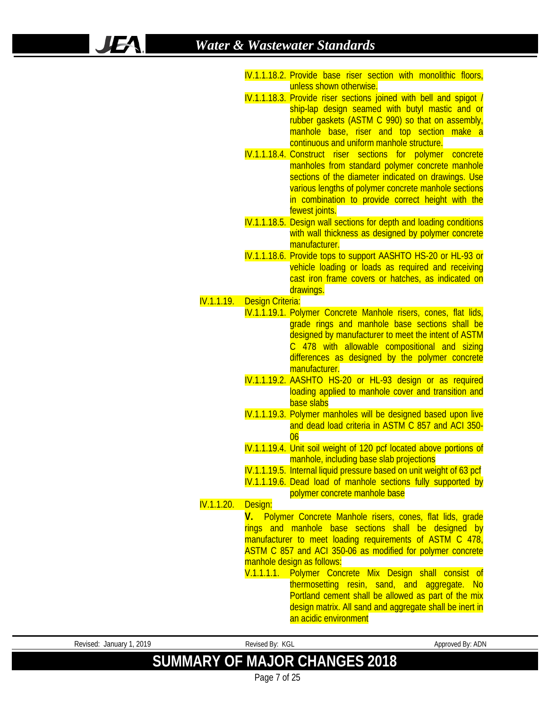JEA.

IV.1.1.18.2. Provide base riser section with monolithic floors,

|                   |                         | unless shown otherwise.                                              |
|-------------------|-------------------------|----------------------------------------------------------------------|
|                   |                         | IV.1.1.18.3. Provide riser sections joined with bell and spigot /    |
|                   |                         | ship-lap design seamed with butyl mastic and or                      |
|                   |                         | rubber gaskets (ASTM C 990) so that on assembly,                     |
|                   |                         | manhole base, riser and top section make a                           |
|                   |                         | continuous and uniform manhole structure.                            |
|                   |                         | <b>IV.1.1.18.4. Construct riser sections for polymer concrete</b>    |
|                   |                         | manholes from standard polymer concrete manhole                      |
|                   |                         | sections of the diameter indicated on drawings. Use                  |
|                   |                         | various lengths of polymer concrete manhole sections                 |
|                   |                         | in combination to provide correct height with the                    |
|                   |                         |                                                                      |
|                   |                         | fewest joints.                                                       |
|                   |                         | IV.1.1.18.5. Design wall sections for depth and loading conditions   |
|                   |                         | with wall thickness as designed by polymer concrete                  |
|                   |                         | manufacturer.                                                        |
|                   |                         | IV.1.1.18.6. Provide tops to support AASHTO HS-20 or HL-93 or        |
|                   |                         | vehicle loading or loads as required and receiving                   |
|                   |                         | cast iron frame covers or hatches, as indicated on                   |
|                   |                         | drawings.                                                            |
| <b>IV.1.1.19.</b> | <b>Design Criteria:</b> |                                                                      |
|                   |                         | IV.1.1.19.1. Polymer Concrete Manhole risers, cones, flat lids,      |
|                   |                         | grade rings and manhole base sections shall be                       |
|                   |                         | designed by manufacturer to meet the intent of ASTM                  |
|                   |                         | C 478 with allowable compositional and sizing                        |
|                   |                         | differences as designed by the polymer concrete                      |
|                   |                         | manufacturer.                                                        |
|                   |                         | IV.1.1.19.2. AASHTO HS-20 or HL-93 design or as required             |
|                   |                         |                                                                      |
|                   |                         | loading applied to manhole cover and transition and                  |
|                   |                         | base slabs                                                           |
|                   |                         | IV.1.1.19.3. Polymer manholes will be designed based upon live       |
|                   |                         | and dead load criteria in ASTM C 857 and ACI 350-                    |
|                   |                         | 06                                                                   |
|                   |                         | IV.1.1.19.4. Unit soil weight of 120 pcf located above portions of   |
|                   |                         | manhole, including base slab projections                             |
|                   |                         | IV.1.1.19.5. Internal liquid pressure based on unit weight of 63 pcf |
|                   |                         | IV.1.1.19.6. Dead load of manhole sections fully supported by        |
|                   |                         | polymer concrete manhole base                                        |
| IV.1.1.20.        | Design:                 |                                                                      |
|                   |                         | V. Polymer Concrete Manhole risers, cones, flat lids, grade          |
|                   |                         | rings and manhole base sections shall be designed by                 |
|                   |                         | manufacturer to meet loading requirements of ASTM C 478,             |
|                   |                         | ASTM C 857 and ACI 350-06 as modified for polymer concrete           |
|                   |                         | manhole design as follows:                                           |
|                   | V.1.1.1.1.              | Polymer Concrete Mix Design shall consist of                         |
|                   |                         | thermosetting resin, sand, and aggregate. No                         |
|                   |                         | Portland cement shall be allowed as part of the mix                  |
|                   |                         | design matrix. All sand and aggregate shall be inert in              |
|                   |                         | an acidic environment                                                |
|                   |                         |                                                                      |

Page 7 of 25

Revised: January 1, 2019 **Revised By: KGL** Revised By: KGL Approved By: ADN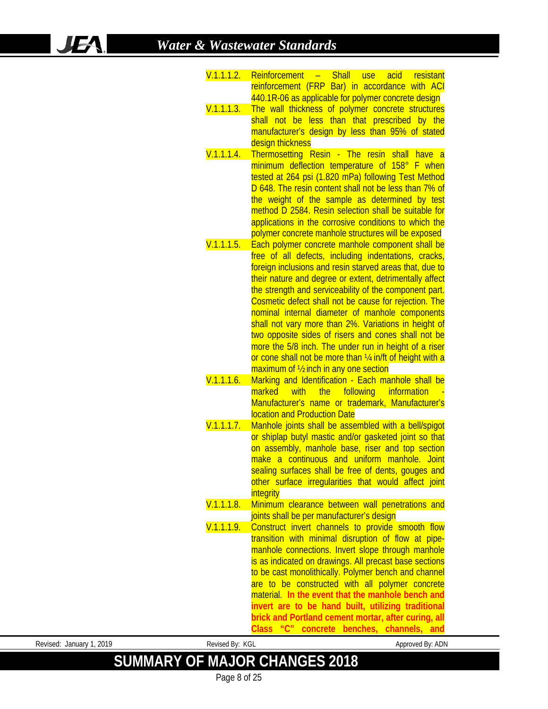| V.1.1.1.2. | Reinforcement - Shall use acid resistant                                                           |
|------------|----------------------------------------------------------------------------------------------------|
|            | reinforcement (FRP Bar) in accordance with ACI                                                     |
|            | 440.1R-06 as applicable for polymer concrete design                                                |
| V.1.1.1.3. | The wall thickness of polymer concrete structures                                                  |
|            | shall not be less than that prescribed by the                                                      |
|            | manufacturer's design by less than 95% of stated                                                   |
|            | design thickness                                                                                   |
| V.1.1.1.4. | Thermosetting Resin - The resin shall have a                                                       |
|            | minimum deflection temperature of 158° F when                                                      |
|            | tested at 264 psi (1.820 mPa) following Test Method                                                |
|            | D 648. The resin content shall not be less than 7% of                                              |
|            | the weight of the sample as determined by test                                                     |
|            | method D 2584. Resin selection shall be suitable for                                               |
|            | applications in the corrosive conditions to which the                                              |
|            | polymer concrete manhole structures will be exposed                                                |
| V.1.1.1.5. | Each polymer concrete manhole component shall be                                                   |
|            | free of all defects, including indentations, cracks,                                               |
|            | foreign inclusions and resin starved areas that, due to                                            |
|            | their nature and degree or extent, detrimentally affect                                            |
|            | the strength and serviceability of the component part.                                             |
|            | Cosmetic defect shall not be cause for rejection. The                                              |
|            | nominal internal diameter of manhole components                                                    |
|            | shall not vary more than 2%. Variations in height of                                               |
|            | two opposite sides of risers and cones shall not be                                                |
|            | more the 5/8 inch. The under run in height of a riser                                              |
|            | or cone shall not be more than 1/4 in/ft of height with a                                          |
|            | maximum of $\frac{1}{2}$ inch in any one section                                                   |
| V.1.1.1.6. | Marking and Identification - Each manhole shall be                                                 |
|            | marked<br>with<br>following information<br>the<br>Manufacturer's name or trademark, Manufacturer's |
|            | location and Production Date                                                                       |
| V.1.1.1.7. | Manhole joints shall be assembled with a bell/spigot                                               |
|            | or shiplap butyl mastic and/or gasketed joint so that                                              |
|            | on assembly, manhole base, riser and top section                                                   |
|            | make a continuous and uniform manhole. Joint                                                       |
|            | sealing surfaces shall be free of dents, gouges and                                                |
|            | other surface irregularities that would affect joint                                               |
|            | <i>integrity</i>                                                                                   |
| V.1.1.1.8. | Minimum clearance between wall penetrations and                                                    |
|            | joints shall be per manufacturer's design                                                          |
| V.1.1.1.9. | Construct invert channels to provide smooth flow                                                   |
|            | transition with minimal disruption of flow at pipe-                                                |
|            | manhole connections. Invert slope through manhole                                                  |
|            | is as indicated on drawings. All precast base sections                                             |
|            | to be cast monolithically. Polymer bench and channel                                               |
|            | are to be constructed with all polymer concrete                                                    |
|            | material. In the event that the manhole bench and                                                  |
|            | invert are to be hand built, utilizing traditional                                                 |
|            | brick and Portland cement mortar, after curing, all                                                |
|            | Class "C" concrete benches, channels, and                                                          |
|            |                                                                                                    |

**SUMMARY OF MAJOR CHANGES 2018**

Revised: January 1, 2019 **Revised By: KGL** Revised By: KGL Approved By: ADN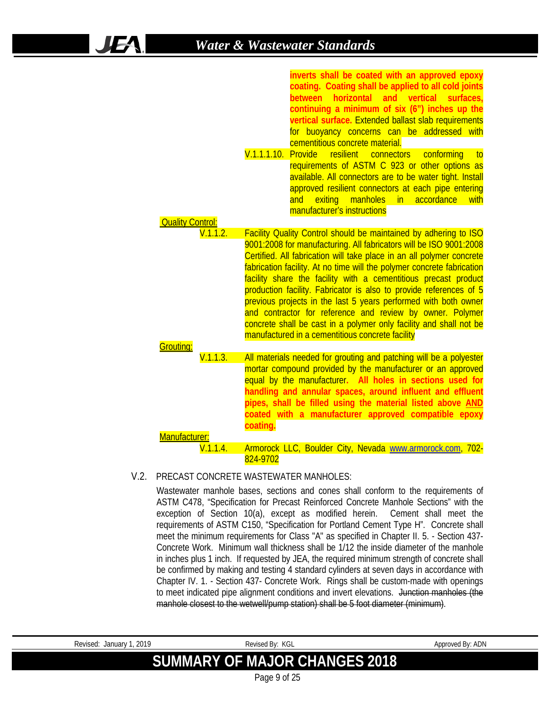**JEA** 

| <b>Quality Control:</b>                       | inverts shall be coated with an approved epoxy<br>coating. Coating shall be applied to all cold joints<br>between horizontal and vertical surfaces.<br>continuing a minimum of six (6") inches up the<br>vertical surface. Extended ballast slab requirements<br>for buoyancy concerns can be addressed with<br>cementitious concrete material.<br>V.1.1.1.10. Provide<br>resilient<br>connectors<br>conforming<br>$\overline{10}$<br>requirements of ASTM C 923 or other options as<br>available. All connectors are to be water tight. Install<br>approved resilient connectors at each pipe entering<br>exiting<br>manholes<br>in accordance with<br>and<br>manufacturer's instructions |
|-----------------------------------------------|--------------------------------------------------------------------------------------------------------------------------------------------------------------------------------------------------------------------------------------------------------------------------------------------------------------------------------------------------------------------------------------------------------------------------------------------------------------------------------------------------------------------------------------------------------------------------------------------------------------------------------------------------------------------------------------------|
| V.1.1.2.                                      | Facility Quality Control should be maintained by adhering to ISO                                                                                                                                                                                                                                                                                                                                                                                                                                                                                                                                                                                                                           |
|                                               | 9001:2008 for manufacturing. All fabricators will be ISO 9001:2008<br>Certified. All fabrication will take place in an all polymer concrete<br>fabrication facility. At no time will the polymer concrete fabrication<br>facility share the facility with a cementitious precast product<br>production facility. Fabricator is also to provide references of 5<br>previous projects in the last 5 years performed with both owner<br>and contractor for reference and review by owner. Polymer<br>concrete shall be cast in a polymer only facility and shall not be<br>manufactured in a cementitious concrete facility                                                                   |
| <b>Grouting:</b><br>V.1.1.3.<br>Manufacturer: | All materials needed for grouting and patching will be a polyester<br>mortar compound provided by the manufacturer or an approved<br>equal by the manufacturer. All holes in sections used for<br>handling and annular spaces, around influent and effluent<br>pipes, shall be filled using the material listed above AND<br>coated with a manufacturer approved compatible epoxy<br>coating.                                                                                                                                                                                                                                                                                              |
| V.1.1.4.                                      | Armorock LLC, Boulder City, Nevada www.armorock.com, 702-<br>824-9702                                                                                                                                                                                                                                                                                                                                                                                                                                                                                                                                                                                                                      |

# V.2. PRECAST CONCRETE WASTEWATER MANHOLES:

Wastewater manhole bases, sections and cones shall conform to the requirements of ASTM C478, "Specification for Precast Reinforced Concrete Manhole Sections" with the exception of Section 10(a), except as modified herein. Cement shall meet the requirements of ASTM C150, "Specification for Portland Cement Type H". Concrete shall meet the minimum requirements for Class "A" as specified in Chapter II. 5. - Section 437- Concrete Work. Minimum wall thickness shall be 1/12 the inside diameter of the manhole in inches plus 1 inch. If requested by JEA, the required minimum strength of concrete shall be confirmed by making and testing 4 standard cylinders at seven days in accordance with Chapter IV. 1. - Section 437- Concrete Work. Rings shall be custom-made with openings to meet indicated pipe alignment conditions and invert elevations. Junction manholes (the manhole closest to the wetwell/pump station) shall be 5 foot diameter (minimum).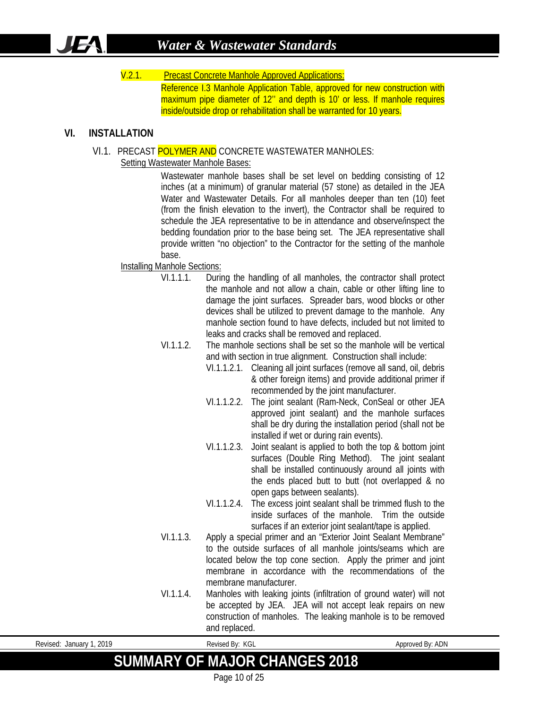# V.2.1. Precast Concrete Manhole Approved Applications:

Reference I.3 Manhole Application Table, approved for new construction with maximum pipe diameter of 12" and depth is 10' or less. If manhole requires inside/outside drop or rehabilitation shall be warranted for 10 years.

# **VI. INSTALLATION**

# VI.1. PRECAST POLYMER AND CONCRETE WASTEWATER MANHOLES:

### Setting Wastewater Manhole Bases:

Wastewater manhole bases shall be set level on bedding consisting of 12 inches (at a minimum) of granular material (57 stone) as detailed in the JEA Water and Wastewater Details. For all manholes deeper than ten (10) feet (from the finish elevation to the invert), the Contractor shall be required to schedule the JEA representative to be in attendance and observe/inspect the bedding foundation prior to the base being set. The JEA representative shall provide written "no objection" to the Contractor for the setting of the manhole base.

#### Installing Manhole Sections:

- VI.1.1.1. During the handling of all manholes, the contractor shall protect the manhole and not allow a chain, cable or other lifting line to damage the joint surfaces. Spreader bars, wood blocks or other devices shall be utilized to prevent damage to the manhole. Any manhole section found to have defects, included but not limited to leaks and cracks shall be removed and replaced.
- VI.1.1.2. The manhole sections shall be set so the manhole will be vertical and with section in true alignment. Construction shall include:
	- VI.1.1.2.1. Cleaning all joint surfaces (remove all sand, oil, debris & other foreign items) and provide additional primer if recommended by the joint manufacturer.
	- VI.1.1.2.2. The joint sealant (Ram-Neck, ConSeal or other JEA approved joint sealant) and the manhole surfaces shall be dry during the installation period (shall not be installed if wet or during rain events).
	- VI.1.1.2.3. Joint sealant is applied to both the top & bottom joint surfaces (Double Ring Method). The joint sealant shall be installed continuously around all joints with the ends placed butt to butt (not overlapped & no open gaps between sealants).
	- VI.1.1.2.4. The excess joint sealant shall be trimmed flush to the inside surfaces of the manhole. Trim the outside surfaces if an exterior joint sealant/tape is applied.
- VI.1.1.3. Apply a special primer and an "Exterior Joint Sealant Membrane" to the outside surfaces of all manhole joints/seams which are located below the top cone section. Apply the primer and joint membrane in accordance with the recommendations of the membrane manufacturer.
- VI.1.1.4. Manholes with leaking joints (infiltration of ground water) will not be accepted by JEA. JEA will not accept leak repairs on new construction of manholes. The leaking manhole is to be removed and replaced.

| KGL<br>201°<br>Revised By:<br>Revised:<br>January <sup>-</sup> | ADN<br>Approved By: |
|----------------------------------------------------------------|---------------------|
| <b>SUMMARY OF MAJOR CHANGES 2018</b>                           |                     |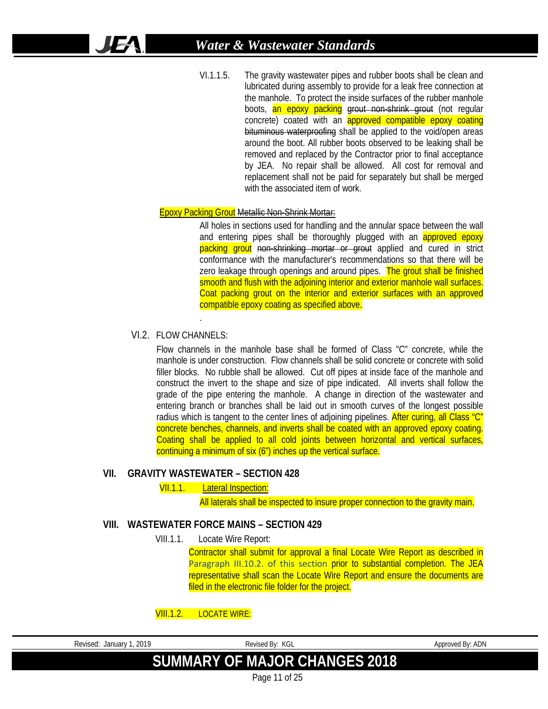VI.1.1.5. The gravity wastewater pipes and rubber boots shall be clean and lubricated during assembly to provide for a leak free connection at the manhole. To protect the inside surfaces of the rubber manhole boots, an epoxy packing grout non-shrink grout (not regular concrete) coated with an **approved compatible epoxy coating** bituminous waterproofing shall be applied to the void/open areas around the boot. All rubber boots observed to be leaking shall be removed and replaced by the Contractor prior to final acceptance by JEA. No repair shall be allowed. All cost for removal and replacement shall not be paid for separately but shall be merged with the associated item of work.

#### Epoxy Packing Grout Metallic Non-Shrink Mortar:

All holes in sections used for handling and the annular space between the wall and entering pipes shall be thoroughly plugged with an **approved epoxy** packing grout non-shrinking mortar or grout applied and cured in strict conformance with the manufacturer's recommendations so that there will be zero leakage through openings and around pipes. The grout shall be finished smooth and flush with the adjoining interior and exterior manhole wall surfaces. Coat packing grout on the interior and exterior surfaces with an approved compatible epoxy coating as specified above.

# VI.2. FLOW CHANNELS:

**JEA** 

.

Flow channels in the manhole base shall be formed of Class "C" concrete, while the manhole is under construction. Flow channels shall be solid concrete or concrete with solid filler blocks. No rubble shall be allowed. Cut off pipes at inside face of the manhole and construct the invert to the shape and size of pipe indicated. All inverts shall follow the grade of the pipe entering the manhole. A change in direction of the wastewater and entering branch or branches shall be laid out in smooth curves of the longest possible radius which is tangent to the center lines of adjoining pipelines. After curing, all Class "C" concrete benches, channels, and inverts shall be coated with an approved epoxy coating. Coating shall be applied to all cold joints between horizontal and vertical surfaces, continuing a minimum of six (6") inches up the vertical surface.

# **VII. GRAVITY WASTEWATER – SECTION 428**

VII.1.1. Lateral Inspection:

All laterals shall be inspected to insure proper connection to the gravity main.

# **VIII. WASTEWATER FORCE MAINS – SECTION 429**

VIII.1.1. Locate Wire Report:

Contractor shall submit for approval a final Locate Wire Report as described in Paragraph III.10.2. of this section prior to substantial completion. The JEA representative shall scan the Locate Wire Report and ensure the documents are filed in the electronic file folder for the project.

VIII.1.2. LOCATE WIRE:

| Revised: January 1, 2019 | Revised By: KGL                      | Approved By: ADN |
|--------------------------|--------------------------------------|------------------|
|                          | <b>SUMMARY OF MAJOR CHANGES 2018</b> |                  |

Page 11 of 25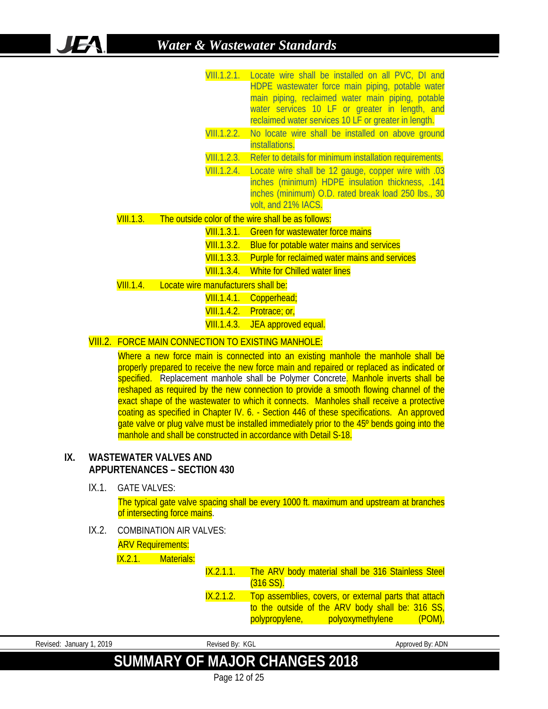|           |                                                    | VIII.1.2.1. Locate wire shall be installed on all PVC, DI and<br>HDPE wastewater force main piping, potable water<br>main piping, reclaimed water main piping, potable<br>water services 10 LF or greater in length, and<br>reclaimed water services 10 LF or greater in length. |
|-----------|----------------------------------------------------|----------------------------------------------------------------------------------------------------------------------------------------------------------------------------------------------------------------------------------------------------------------------------------|
|           | <b>VIII.1.2.2.</b>                                 | No locate wire shall be installed on above ground<br>installations.                                                                                                                                                                                                              |
|           |                                                    | VIII.1.2.3. Refer to details for minimum installation requirements.                                                                                                                                                                                                              |
|           | <b>VIII.1.2.4.</b>                                 | Locate wire shall be 12 gauge, copper wire with .03<br>inches (minimum) HDPE insulation thickness, .141<br>inches (minimum) O.D. rated break load 250 lbs., 30<br>volt, and 21% IACS.                                                                                            |
| VIII.1.3. | The outside color of the wire shall be as follows: |                                                                                                                                                                                                                                                                                  |
|           |                                                    | VIII.1.3.1. Green for wastewater force mains                                                                                                                                                                                                                                     |
|           | <b>VIII.1.3.2.</b>                                 | Blue for potable water mains and services                                                                                                                                                                                                                                        |
|           | <b>VIII.1.3.3.</b>                                 | Purple for reclaimed water mains and services                                                                                                                                                                                                                                    |
|           | <b>VIII.1.3.4.</b>                                 | White for Chilled water lines                                                                                                                                                                                                                                                    |
| VIII.1.4. | Locate wire manufacturers shall be:                |                                                                                                                                                                                                                                                                                  |
|           | <b>VIII.1.4.1.</b>                                 | Copperhead;                                                                                                                                                                                                                                                                      |
|           |                                                    | VIII.1.4.2. Protrace; or,                                                                                                                                                                                                                                                        |
|           |                                                    | VIII.1.4.3. JEA approved equal.                                                                                                                                                                                                                                                  |
|           | <b>EODCE MAIN CONNECTION TO EVICTING MANUOLE,</b>  |                                                                                                                                                                                                                                                                                  |

### VIII.2. FORCE MAIN CONNECTION TO EXISTING MANHOLE:

Where a new force main is connected into an existing manhole the manhole shall be properly prepared to receive the new force main and repaired or replaced as indicated or specified. Replacement manhole shall be Polymer Concrete. Manhole inverts shall be reshaped as required by the new connection to provide a smooth flowing channel of the exact shape of the wastewater to which it connects. Manholes shall receive a protective coating as specified in Chapter IV. 6. - Section 446 of these specifications. An approved gate valve or plug valve must be installed immediately prior to the 45° bends going into the manhole and shall be constructed in accordance with Detail S-18.

# **IX. WASTEWATER VALVES AND APPURTENANCES – SECTION 430**

IX.1. GATE VALVES:

The typical gate valve spacing shall be every 1000 ft. maximum and upstream at branches of intersecting force mains.

# IX.2. COMBINATION AIR VALVES:

| <b>ARV Requirements:</b> |
|--------------------------|
|--------------------------|

IX.2.1. Materials:

| IX.2.1.1. | The ARV body material shall be 316 Stainless Steel    |
|-----------|-------------------------------------------------------|
|           | $(316 S)$ .                                           |
| IX.2.1.2. | Top assemblies, covers, or external parts that attach |
|           | to the outside of the ARV body shall be: 316 SS,      |
|           | polypropylene, polyoxymethylene<br>(OOM)              |
|           |                                                       |

Revised: January 1, 2019 **Revised By: KGL** Revised By: KGL Approved By: ADN **SUMMARY OF MAJOR CHANGES 2018**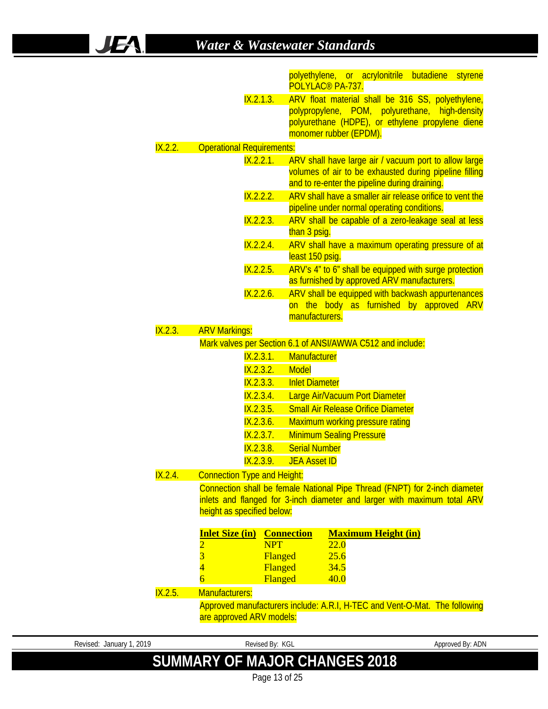**JEA** 

|         |                                    | polyethylene, or acrylonitrile butadiene styrene<br>POLYLAC <sup>®</sup> PA-737.                                                                                                  |
|---------|------------------------------------|-----------------------------------------------------------------------------------------------------------------------------------------------------------------------------------|
|         | IX.2.1.3.                          | ARV float material shall be 316 SS, polyethylene,<br>polypropylene, POM, polyurethane, high-density<br>polyurethane (HDPE), or ethylene propylene diene<br>monomer rubber (EPDM). |
| IX.2.2. | <b>Operational Requirements:</b>   |                                                                                                                                                                                   |
|         | IX.2.2.1.                          | ARV shall have large air / vacuum port to allow large                                                                                                                             |
|         |                                    | volumes of air to be exhausted during pipeline filling<br>and to re-enter the pipeline during draining.                                                                           |
|         | IX.2.2.2.                          | ARV shall have a smaller air release orifice to vent the                                                                                                                          |
|         |                                    | pipeline under normal operating conditions.                                                                                                                                       |
|         | IX.2.2.3.                          | ARV shall be capable of a zero-leakage seal at less                                                                                                                               |
|         |                                    | than 3 psig.                                                                                                                                                                      |
|         | IX.2.2.4.                          | ARV shall have a maximum operating pressure of at                                                                                                                                 |
|         |                                    | least 150 psig.                                                                                                                                                                   |
|         | IX.2.2.5.                          | ARV's 4" to 6" shall be equipped with surge protection                                                                                                                            |
|         |                                    | as furnished by approved ARV manufacturers.                                                                                                                                       |
|         | IX.2.2.6.                          | ARV shall be equipped with backwash appurtenances<br>on the body as furnished by approved ARV                                                                                     |
|         |                                    | manufacturers.                                                                                                                                                                    |
| IX.2.3. | <b>ARV Markings:</b>               |                                                                                                                                                                                   |
|         |                                    | Mark valves per Section 6.1 of ANSI/AWWA C512 and include:                                                                                                                        |
|         | IX.2.3.1.                          | Manufacturer                                                                                                                                                                      |
|         | IX.2.3.2.                          | <b>Model</b>                                                                                                                                                                      |
|         | IX.2.3.3.                          | <b>Inlet Diameter</b>                                                                                                                                                             |
|         | IX.2.3.4.                          | Large Air/Vacuum Port Diameter                                                                                                                                                    |
|         | IX.2.3.5.                          | <b>Small Air Release Orifice Diameter</b>                                                                                                                                         |
|         | IX.2.3.6.                          | <b>Maximum working pressure rating</b>                                                                                                                                            |
|         | IX.2.3.7.                          | <b>Minimum Sealing Pressure</b>                                                                                                                                                   |
|         | IX.2.3.8.                          | <b>Serial Number</b>                                                                                                                                                              |
|         | IX.2.3.9.                          | <b>JEA Asset ID</b>                                                                                                                                                               |
| IX.2.4. | <b>Connection Type and Height:</b> |                                                                                                                                                                                   |
|         |                                    | Connection shall be female National Pipe Thread (FNPT) for 2-inch diameter                                                                                                        |
|         |                                    | inlets and flanged for 3-inch diameter and larger with maximum total ARV                                                                                                          |
|         | height as specified below:         |                                                                                                                                                                                   |
|         | <b>Inlet Size (in)</b>             | <b>Maximum Height (in)</b><br><b>Connection</b>                                                                                                                                   |
|         | <b>NPT</b>                         | 22.0                                                                                                                                                                              |
|         | $\frac{2}{3}$<br>Flanged           | 25.6                                                                                                                                                                              |
|         | Flanged<br>6<br>Flanged            | 34.5<br>40.0                                                                                                                                                                      |
|         |                                    |                                                                                                                                                                                   |
| IX.2.5. | <b>Manufacturers:</b>              |                                                                                                                                                                                   |
|         | are approved ARV models:           | Approved manufacturers include: A.R.I, H-TEC and Vent-O-Mat. The following                                                                                                        |
|         |                                    |                                                                                                                                                                                   |

| Revised: January 1, 2019 | Revised By: KGL                      | Approved By: ADN |
|--------------------------|--------------------------------------|------------------|
|                          | <b>SUMMARY OF MAJOR CHANGES 2018</b> |                  |

Page 13 of 25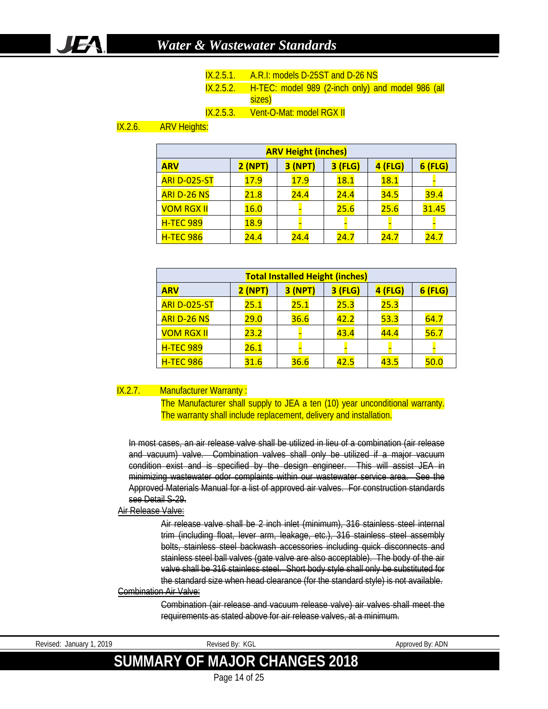# *Water & Wastewater Standards*

IX.2.5.1. A.R.I: models D-25ST and D-26 NS

IX.2.5.2. H-TEC: model 989 (2-inch only) and model 986 (all sizes)

IX.2.5.3. Vent-O-Mat: model RGX II

#### IX.2.6. ARV Heights:

| <b>ARV Height (inches)</b>                                                          |             |      |             |      |       |  |  |
|-------------------------------------------------------------------------------------|-------------|------|-------------|------|-------|--|--|
| <b>3 (NPT)</b><br>$2$ (NPT)<br><b>3 (FLG)</b><br>4 (FLG)<br><b>ARV</b><br>$6$ (FLG) |             |      |             |      |       |  |  |
| <b>ARI D-025-ST</b>                                                                 | 17.9        | 17.9 | <b>18.1</b> | 18.1 |       |  |  |
| <b>ARI D-26 NS</b>                                                                  | 21.8        | 24.4 | 24.4        | 34.5 | 39.4  |  |  |
| <b>VOM RGX II</b>                                                                   | 16.0        |      | 25.6        | 25.6 | 31.45 |  |  |
| <b>H-TEC 989</b>                                                                    | <b>18.9</b> |      |             |      |       |  |  |
| <b>H-TEC 986</b>                                                                    | 24.4        | 24.4 | 24.7        | 24.7 | 24.7  |  |  |

| <b>Total Installed Height (inches)</b> |                                                                            |      |      |      |      |  |  |
|----------------------------------------|----------------------------------------------------------------------------|------|------|------|------|--|--|
| <b>ARV</b>                             | <b>3 (NPT)</b><br><b>2 (NPT)</b><br><b>3 (FLG)</b><br>$6$ (FLG)<br>4 (FLG) |      |      |      |      |  |  |
| <b>ARI D-025-ST</b>                    | 25.1                                                                       | 25.1 | 25.3 | 25.3 |      |  |  |
| <b>ARI D-26 NS</b>                     | 29.0                                                                       | 36.6 | 42.2 | 53.3 | 64.7 |  |  |
| <b>VOM RGX II</b>                      | 23.2                                                                       |      | 43.4 | 44.4 | 56.7 |  |  |
| <b>H-TEC 989</b>                       | 26.1                                                                       |      |      |      |      |  |  |
| <b>H-TEC 986</b>                       | 31.6                                                                       | 36.6 | 42.5 | 43.5 | 50.0 |  |  |

#### IX.2.7. Manufacturer Warranty :

The Manufacturer shall supply to JEA a ten (10) year unconditional warranty. The warranty shall include replacement, delivery and installation.

In most cases, an air release valve shall be utilized in lieu of a combination (air release and vacuum) valve. Combination valves shall only be utilized if a major vacuum condition exist and is specified by the design engineer. This will assist JEA in minimizing wastewater odor complaints within our wastewater service area. See the Approved Materials Manual for a list of approved air valves. For construction standards see Detail S-29.

#### Air Release Valve:

Air release valve shall be 2 inch inlet (minimum), 316 stainless steel internal trim (including float, lever arm, leakage, etc.), 316 stainless steel assembly bolts, stainless steel backwash accessories including quick disconnects and stainless steel ball valves (gate valve are also acceptable). The body of the air valve shall be 316 stainless steel. Short body style shall only be substituted for the standard size when head clearance (for the standard style) is not available.

# Combination Air Valve:

Combination (air release and vacuum release valve) air valves shall meet the requirements as stated above for air release valves, at a minimum.

| .2019<br>Revised:<br>January <sup>,</sup> | KGL<br>Revised Bv <sup>.</sup>       | Approved By: ADN |
|-------------------------------------------|--------------------------------------|------------------|
|                                           | <b>SUMMARY OF MAJOR CHANGES 2018</b> |                  |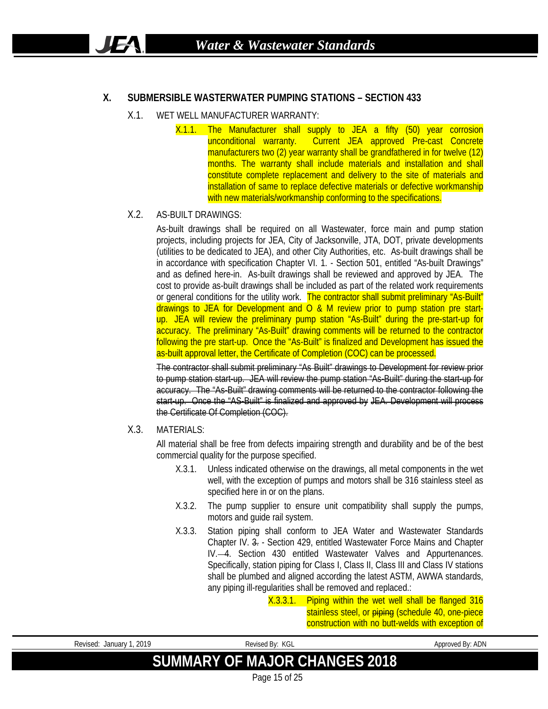# **X. SUBMERSIBLE WASTERWATER PUMPING STATIONS – SECTION 433**

- X.1. WET WELL MANUFACTURER WARRANTY:
	- X.1.1. The Manufacturer shall supply to JEA a fifty (50) year corrosion unconditional warranty. Current JEA approved Pre-cast Concrete manufacturers two (2) year warranty shall be grandfathered in for twelve (12) months. The warranty shall include materials and installation and shall constitute complete replacement and delivery to the site of materials and installation of same to replace defective materials or defective workmanship with new materials/workmanship conforming to the specifications.

#### X.2. AS-BUILT DRAWINGS:

**JEA** 

As-built drawings shall be required on all Wastewater, force main and pump station projects, including projects for JEA, City of Jacksonville, JTA, DOT, private developments (utilities to be dedicated to JEA), and other City Authorities, etc. As-built drawings shall be in accordance with specification Chapter VI. 1. - Section 501, entitled "As-built Drawings" and as defined here-in. As-built drawings shall be reviewed and approved by JEA. The cost to provide as-built drawings shall be included as part of the related work requirements or general conditions for the utility work. The contractor shall submit preliminary "As-Built" drawings to JEA for Development and O & M review prior to pump station pre startup. JEA will review the preliminary pump station "As-Built" during the pre-start-up for accuracy. The preliminary "As-Built" drawing comments will be returned to the contractor following the pre start-up. Once the "As-Built" is finalized and Development has issued the as-built approval letter, the Certificate of Completion (COC) can be processed.

The contractor shall submit preliminary "As Built" drawings to Development for review prior to pump station start-up. JEA will review the pump station "As-Built" during the start-up for accuracy. The "As-Built" drawing comments will be returned to the contractor following the start-up. Once the "AS-Built" is finalized and approved by JEA. Development will process the Certificate Of Completion (COC).

X.3. MATERIALS:

All material shall be free from defects impairing strength and durability and be of the best commercial quality for the purpose specified.

- X.3.1. Unless indicated otherwise on the drawings, all metal components in the wet well, with the exception of pumps and motors shall be 316 stainless steel as specified here in or on the plans.
- X.3.2. The pump supplier to ensure unit compatibility shall supply the pumps, motors and guide rail system.
- X.3.3. Station piping shall conform to JEA Water and Wastewater Standards Chapter IV. 3. - Section 429, entitled Wastewater Force Mains and Chapter IV. - 4. Section 430 entitled Wastewater Valves and Appurtenances. Specifically, station piping for Class I, Class II, Class III and Class IV stations shall be plumbed and aligned according the latest ASTM, AWWA standards, any piping ill-regularities shall be removed and replaced.:

X.3.3.1. Piping within the wet well shall be flanged 316 stainless steel, or piping (schedule 40, one-piece construction with no butt-welds with exception of

Revised: January 1, 2019 **Revised By: KGL** Revised By: KGL Approved By: ADN

# **SUMMARY OF MAJOR CHANGES 2018**

Page 15 of 25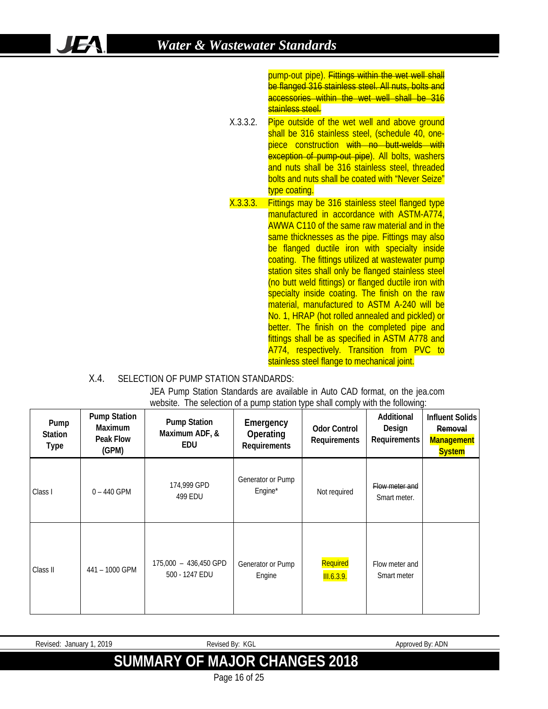pump-out pipe). Fittings within the wet well shall be flanged 316 stainless steel. All nuts, bolts and accessories within the wet well shall be 316 stainless steel. X.3.3.2. Pipe outside of the wet well and above ground shall be 316 stainless steel, (schedule 40, onepiece construction with no butt-welds with exception of pump-out pipe). All bolts, washers and nuts shall be 316 stainless steel, threaded bolts and nuts shall be coated with "Never Seize" type coating. X.3.3.3. Fittings may be 316 stainless steel flanged type manufactured in accordance with ASTM-A774, AWWA C110 of the same raw material and in the same thicknesses as the pipe. Fittings may also be flanged ductile iron with specialty inside coating. The fittings utilized at wastewater pump station sites shall only be flanged stainless steel (no butt weld fittings) or flanged ductile iron with specialty inside coating. The finish on the raw material, manufactured to ASTM A-240 will be No. 1, HRAP (hot rolled annealed and pickled) or better. The finish on the completed pipe and fittings shall be as specified in ASTM A778 and A774, respectively. Transition from PVC to stainless steel flange to mechanical joint.

# X.4. SELECTION OF PUMP STATION STANDARDS:

JEA Pump Station Standards are available in Auto CAD format, on the jea.com website. The selection of a pump station type shall comply with the following:

| Pump<br><b>Station</b><br><b>Type</b> | <b>Pump Station</b><br>Maximum<br>Peak Flow<br>(GPM) | <b>Pump Station</b><br>Maximum ADF, &<br><b>EDU</b> | Emergency<br>Operating<br>Requirements | <b>Odor Control</b><br>Requirements | Additional<br>Design<br>Requirements | <b>Influent Solids</b><br>Removal<br><b>Management</b><br><b>System</b> |
|---------------------------------------|------------------------------------------------------|-----------------------------------------------------|----------------------------------------|-------------------------------------|--------------------------------------|-------------------------------------------------------------------------|
| Class I                               | $0 - 440$ GPM                                        | 174,999 GPD<br>499 EDU                              | Generator or Pump<br>Engine*           | Not required                        | Flow meter and<br>Smart meter.       |                                                                         |
| Class II                              | 441 - 1000 GPM                                       | 175,000 - 436,450 GPD<br>500 - 1247 EDU             | Generator or Pump<br>Engine            | Required<br>III.6.3.9.              | Flow meter and<br>Smart meter        |                                                                         |

| . 2019<br>Revised:<br>January: | Revised Bv: KGL                      | Approved By: ADN |
|--------------------------------|--------------------------------------|------------------|
|                                | <b>SUMMARY OF MAJOR CHANGES 2018</b> |                  |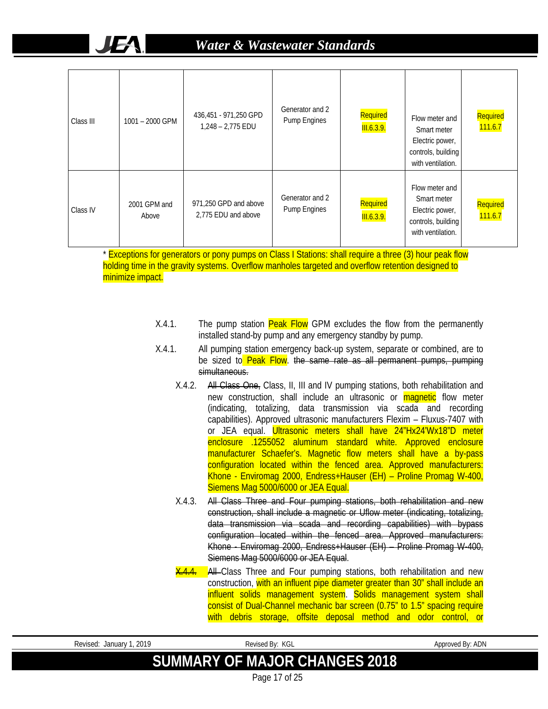| Class III | 1001 - 2000 GPM       | 436,451 - 971,250 GPD<br>$1,248 - 2,775$ EDU | Generator and 2<br>Pump Engines | Required<br>III.6.3.9. | Flow meter and<br>Smart meter<br>Electric power,<br>controls, building<br>with ventilation. | Required<br>111.6.7 |
|-----------|-----------------------|----------------------------------------------|---------------------------------|------------------------|---------------------------------------------------------------------------------------------|---------------------|
| Class IV  | 2001 GPM and<br>Above | 971,250 GPD and above<br>2,775 EDU and above | Generator and 2<br>Pump Engines | Required<br>III.6.3.9. | Flow meter and<br>Smart meter<br>Electric power,<br>controls, building<br>with ventilation. | Required<br>111.6.7 |

\* Exceptions for generators or pony pumps on Class I Stations: shall require a three (3) hour peak flow holding time in the gravity systems. Overflow manholes targeted and overflow retention designed to minimize impact.

- X.4.1. The pump station **Peak Flow** GPM excludes the flow from the permanently installed stand-by pump and any emergency standby by pump.
- X.4.1. All pumping station emergency back-up system, separate or combined, are to be sized to Peak Flow. the same rate as all permanent pumps, pumping simultaneous.
	- X.4.2. All Class One, Class, II, III and IV pumping stations, both rehabilitation and new construction, shall include an ultrasonic or **magnetic** flow meter (indicating, totalizing, data transmission via scada and recording capabilities). Approved ultrasonic manufacturers Flexim – Fluxus-7407 with or JEA equal. Ultrasonic meters shall have 24"Hx24'Wx18"D meter enclosure .1255052 aluminum standard white. Approved enclosure manufacturer Schaefer's. Magnetic flow meters shall have a by-pass configuration located within the fenced area. Approved manufacturers: Khone - Enviromag 2000, Endress+Hauser (EH) – Proline Promag W-400, Siemens Mag 5000/6000 or JEA Equal.
	- X.4.3. All Class Three and Four pumping stations, both rehabilitation and new construction, shall include a magnetic or Uflow meter (indicating, totalizing, data transmission via scada and recording capabilities) with bypass configuration located within the fenced area. Approved manufacturers: Khone - Enviromag 2000, Endress+Hauser (EH) – Proline Promag W-400, Siemens Mag 5000/6000 or JEA Equal.
	- All–Class Three and Four pumping stations, both rehabilitation and new construction, with an influent pipe diameter greater than 30" shall include an influent solids management system. Solids management system shall consist of Dual-Channel mechanic bar screen (0.75" to 1.5" spacing require with debris storage, offsite deposal method and odor control, or

| Revised: January 1, 2019 | Revised By: KGL                      | Approved By: ADN |
|--------------------------|--------------------------------------|------------------|
|                          | <b>SUMMARY OF MAJOR CHANGES 2018</b> |                  |
|                          | Page 17 of 25                        |                  |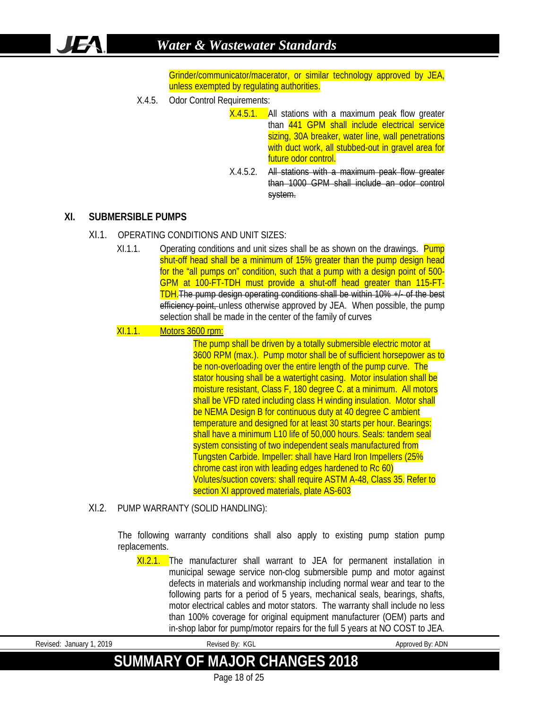# *Water & Wastewater Standards*

Grinder/communicator/macerator, or similar technology approved by JEA, unless exempted by regulating authorities.

- X.4.5. Odor Control Requirements:
	- X.4.5.1. All stations with a maximum peak flow greater than 441 GPM shall include electrical service sizing, 30A breaker, water line, wall penetrations with duct work, all stubbed-out in gravel area for future odor control.
		- X.4.5.2. All stations with a maximum peak flow greater than 1000 GPM shall include an odor control system.

#### **XI. SUBMERSIBLE PUMPS**

- XI.1. OPERATING CONDITIONS AND UNIT SIZES:
	- XI.1.1. Operating conditions and unit sizes shall be as shown on the drawings. Pump shut-off head shall be a minimum of 15% greater than the pump design head for the "all pumps on" condition, such that a pump with a design point of 500- GPM at 100-FT-TDH must provide a shut-off head greater than 115-FT-TDH.The pump design operating conditions shall be within 10% +/- of the best efficiency point, unless otherwise approved by JEA. When possible, the pump selection shall be made in the center of the family of curves

#### XI.1.1. Motors 3600 rpm:

The pump shall be driven by a totally submersible electric motor at 3600 RPM (max.). Pump motor shall be of sufficient horsepower as to be non-overloading over the entire length of the pump curve. The stator housing shall be a watertight casing. Motor insulation shall be moisture resistant, Class F, 180 degree C. at a minimum. All motors shall be VFD rated including class H winding insulation. Motor shall be NEMA Design B for continuous duty at 40 degree C ambient temperature and designed for at least 30 starts per hour. Bearings: shall have a minimum L10 life of 50,000 hours. Seals: tandem seal system consisting of two independent seals manufactured from Tungsten Carbide. Impeller: shall have Hard Iron Impellers (25% chrome cast iron with leading edges hardened to Rc 60) Volutes/suction covers: shall require ASTM A-48, Class 35. Refer to section XI approved materials, plate AS-603

XI.2. PUMP WARRANTY (SOLID HANDLING):

The following warranty conditions shall also apply to existing pump station pump replacements.

XI.2.1. The manufacturer shall warrant to JEA for permanent installation in municipal sewage service non-clog submersible pump and motor against defects in materials and workmanship including normal wear and tear to the following parts for a period of 5 years, mechanical seals, bearings, shafts, motor electrical cables and motor stators. The warranty shall include no less than 100% coverage for original equipment manufacturer (OEM) parts and in-shop labor for pump/motor repairs for the full 5 years at NO COST to JEA.

| 2019<br>Revised:<br>January: | Revised By: KGL               | Approved By: ADN |
|------------------------------|-------------------------------|------------------|
|                              | SUMMARY OF MAJOR CHANGES 2018 |                  |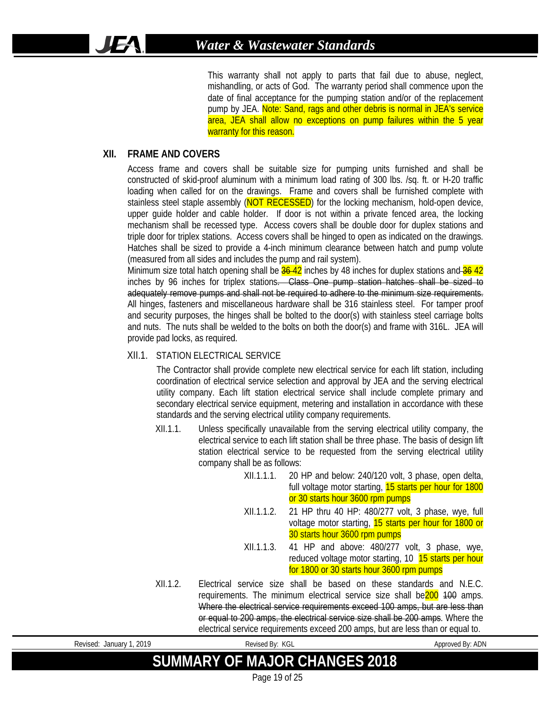This warranty shall not apply to parts that fail due to abuse, neglect, mishandling, or acts of God. The warranty period shall commence upon the date of final acceptance for the pumping station and/or of the replacement pump by JEA. Note: Sand, rags and other debris is normal in JEA's service area, JEA shall allow no exceptions on pump failures within the 5 year warranty for this reason.

# **XII. FRAME AND COVERS**

 $\boldsymbol{\mu}$ 

Access frame and covers shall be suitable size for pumping units furnished and shall be constructed of skid-proof aluminum with a minimum load rating of 300 lbs. /sq. ft. or H-20 traffic loading when called for on the drawings. Frame and covers shall be furnished complete with stainless steel staple assembly (NOT RECESSED) for the locking mechanism, hold-open device, upper guide holder and cable holder. If door is not within a private fenced area, the locking mechanism shall be recessed type. Access covers shall be double door for duplex stations and triple door for triplex stations. Access covers shall be hinged to open as indicated on the drawings. Hatches shall be sized to provide a 4-inch minimum clearance between hatch and pump volute (measured from all sides and includes the pump and rail system).

Minimum size total hatch opening shall be  $\frac{36-42}{3}$  inches by 48 inches for duplex stations and  $\frac{36-42}{3}$ inches by 96 inches for triplex stations. Class One pump station hatches shall be sized to adequately remove pumps and shall not be required to adhere to the minimum size requirements. All hinges, fasteners and miscellaneous hardware shall be 316 stainless steel. For tamper proof and security purposes, the hinges shall be bolted to the door(s) with stainless steel carriage bolts and nuts. The nuts shall be welded to the bolts on both the door(s) and frame with 316L. JEA will provide pad locks, as required.

### XII.1. STATION ELECTRICAL SERVICE

The Contractor shall provide complete new electrical service for each lift station, including coordination of electrical service selection and approval by JEA and the serving electrical utility company. Each lift station electrical service shall include complete primary and secondary electrical service equipment, metering and installation in accordance with these standards and the serving electrical utility company requirements.

- XII.1.1. Unless specifically unavailable from the serving electrical utility company, the electrical service to each lift station shall be three phase. The basis of design lift station electrical service to be requested from the serving electrical utility company shall be as follows:
	- XII.1.1.1. 20 HP and below: 240/120 volt, 3 phase, open delta, full voltage motor starting, 15 starts per hour for 1800 or 30 starts hour 3600 rpm pumps
	- XII.1.1.2. 21 HP thru 40 HP: 480/277 volt, 3 phase, wye, full voltage motor starting, 15 starts per hour for 1800 or 30 starts hour 3600 rpm pumps
	- XII.1.1.3. 41 HP and above: 480/277 volt, 3 phase, wye, reduced voltage motor starting, 10 15 starts per hour for 1800 or 30 starts hour 3600 rpm pumps
- XII.1.2. Electrical service size shall be based on these standards and N.E.C. requirements. The minimum electrical service size shall be<sup>200</sup> 400 amps. Where the electrical service requirements exceed 100 amps, but are less than or equal to 200 amps, the electrical service size shall be 200 amps. Where the electrical service requirements exceed 200 amps, but are less than or equal to.

| January 1, 2019<br>Revised: | Revised By: KGL               | Approved By: ADN |
|-----------------------------|-------------------------------|------------------|
|                             | SUMMARY OF MAJOR CHANGES 2018 |                  |

Page 19 of 25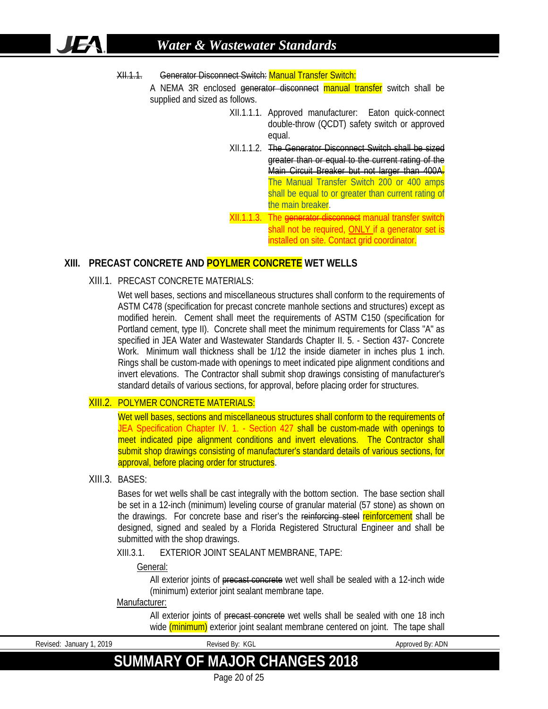# *Water & Wastewater Standards*

# XII.1.1. Generator Disconnect Switch: Manual Transfer Switch: A NEMA 3R enclosed generator disconnect manual transfer switch shall be supplied and sized as follows. XII.1.1.1. Approved manufacturer: Eaton quick-connect double-throw (QCDT) safety switch or approved equal. XII.1.1.2. The Generator Disconnect Switch shall be sized greater than or equal to the current rating of the Main Circuit Breaker but not larger than 400A. The Manual Transfer Switch 200 or 400 amps

the main breaker. XII.1.1.3. The generator disconnect manual transfer switch shall not be required, ONLY if a generator set is installed on site. Contact grid coordinator.

shall be equal to or greater than current rating of

# **XIII. PRECAST CONCRETE AND POYLMER CONCRETE WET WELLS**

# XIII.1. PRECAST CONCRETE MATERIALS:

Wet well bases, sections and miscellaneous structures shall conform to the requirements of ASTM C478 (specification for precast concrete manhole sections and structures) except as modified herein. Cement shall meet the requirements of ASTM C150 (specification for Portland cement, type II). Concrete shall meet the minimum requirements for Class "A" as specified in JEA Water and Wastewater Standards Chapter II. 5. - Section 437- Concrete Work. Minimum wall thickness shall be 1/12 the inside diameter in inches plus 1 inch. Rings shall be custom-made with openings to meet indicated pipe alignment conditions and invert elevations. The Contractor shall submit shop drawings consisting of manufacturer's standard details of various sections, for approval, before placing order for structures.

# XIII.2. POLYMER CONCRETE MATERIALS:

Wet well bases, sections and miscellaneous structures shall conform to the requirements of JEA Specification Chapter IV. 1. - Section 427 shall be custom-made with openings to meet indicated pipe alignment conditions and invert elevations. The Contractor shall submit shop drawings consisting of manufacturer's standard details of various sections, for approval, before placing order for structures.

# XIII.3. BASES:

W.,

Bases for wet wells shall be cast integrally with the bottom section. The base section shall be set in a 12-inch (minimum) leveling course of granular material (57 stone) as shown on the drawings. For concrete base and riser's the reinforcing steel reinforcement shall be designed, signed and sealed by a Florida Registered Structural Engineer and shall be submitted with the shop drawings.

# XIII.3.1. EXTERIOR JOINT SEALANT MEMBRANE, TAPE:

#### General:

All exterior joints of precast concrete wet well shall be sealed with a 12-inch wide (minimum) exterior joint sealant membrane tape.

#### Manufacturer:

All exterior joints of precast concrete wet wells shall be sealed with one 18 inch wide (minimum) exterior joint sealant membrane centered on joint. The tape shall

| January 1, 2019<br>Revised: | Revised By: KGL                      | Approved By: ADN |
|-----------------------------|--------------------------------------|------------------|
|                             | <b>SUMMARY OF MAJOR CHANGES 2018</b> |                  |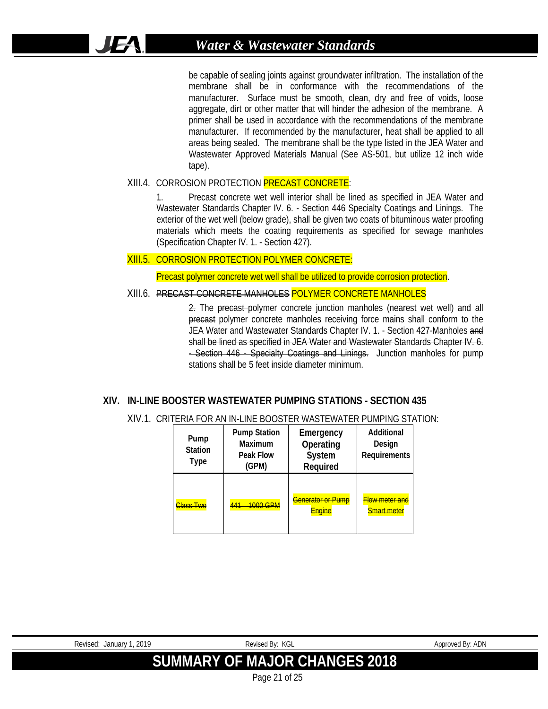be capable of sealing joints against groundwater infiltration. The installation of the membrane shall be in conformance with the recommendations of the manufacturer. Surface must be smooth, clean, dry and free of voids, loose aggregate, dirt or other matter that will hinder the adhesion of the membrane. A primer shall be used in accordance with the recommendations of the membrane manufacturer. If recommended by the manufacturer, heat shall be applied to all areas being sealed. The membrane shall be the type listed in the JEA Water and Wastewater Approved Materials Manual (See AS-501, but utilize 12 inch wide tape).

#### XIII.4. CORROSION PROTECTION PRECAST CONCRETE:

**JEA** 

1. Precast concrete wet well interior shall be lined as specified in JEA Water and Wastewater Standards Chapter IV. 6. - Section 446 Specialty Coatings and Linings. The exterior of the wet well (below grade), shall be given two coats of bituminous water proofing materials which meets the coating requirements as specified for sewage manholes (Specification Chapter IV. 1. - Section 427).

XIII.5. CORROSION PROTECTION POLYMER CONCRETE:

Precast polymer concrete wet well shall be utilized to provide corrosion protection.

# XIII.6. PRECAST CONCRETE MANHOLES POLYMER CONCRETE MANHOLES

2. The precast polymer concrete junction manholes (nearest wet well) and all precast polymer concrete manholes receiving force mains shall conform to the JEA Water and Wastewater Standards Chapter IV. 1. - Section 427-Manholes and shall be lined as specified in JEA Water and Wastewater Standards Chapter IV. 6. - Section 446 - Specialty Coatings and Linings. Junction manholes for pump stations shall be 5 feet inside diameter minimum.

# **XIV. IN-LINE BOOSTER WASTEWATER PUMPING STATIONS - SECTION 435**

XIV.1. CRITERIA FOR AN IN-LINE BOOSTER WASTEWATER PUMPING STATION:

| Pump<br><b>Station</b><br><b>Type</b> | <b>Pump Station</b><br>Maximum<br>Peak Flow<br>(GPM) | Emergency<br>Operating<br>System<br>Required | Additional<br>Design<br>Requirements |
|---------------------------------------|------------------------------------------------------|----------------------------------------------|--------------------------------------|
| <u>Class Two</u>                      | AA1                                                  | Generator or Pump                            | <b>Flow meter and</b>                |
|                                       | <del>1000 GPM</del>                                  | <u>Enaine</u>                                | <b>Smart meter</b>                   |

| Revised: January 1, 2019 | Revised By: KGL                      | Approved By: ADN |
|--------------------------|--------------------------------------|------------------|
|                          | <b>SUMMARY OF MAJOR CHANGES 2018</b> |                  |
|                          | ------<br>$\sim$                     |                  |

Page 21 of 25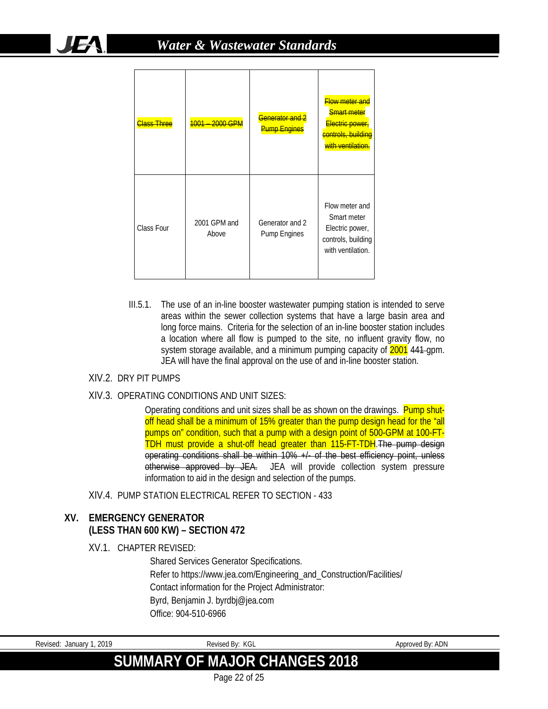| lace T     | 1001<br>2000 GPM      | <u> Aenerator and</u><br><del>ump Enginc</del> | <del>Flow meter an</del><br><u> Smart motor</u><br><u> Electric nower</u><br>controls, buil<br><del>with ventilatior</del> |
|------------|-----------------------|------------------------------------------------|----------------------------------------------------------------------------------------------------------------------------|
| Class Four | 2001 GPM and<br>Above | Generator and 2<br>Pump Engines                | Flow meter and<br>Smart meter<br>Electric power,<br>controls, building<br>with ventilation.                                |

III.5.1. The use of an in-line booster wastewater pumping station is intended to serve areas within the sewer collection systems that have a large basin area and long force mains. Criteria for the selection of an in-line booster station includes a location where all flow is pumped to the site, no influent gravity flow, no system storage available, and a minimum pumping capacity of 2001 441-gpm. JEA will have the final approval on the use of and in-line booster station.

# XIV.2. DRY PIT PUMPS

# XIV.3. OPERATING CONDITIONS AND UNIT SIZES:

Operating conditions and unit sizes shall be as shown on the drawings. Pump shutoff head shall be a minimum of 15% greater than the pump design head for the "all pumps on" condition, such that a pump with a design point of 500-GPM at 100-FT-TDH must provide a shut-off head greater than 115-FT-TDH.The pump design operating conditions shall be within  $10\% +1$  of the best efficiency point, unless otherwise approved by JEA. JEA will provide collection system pressure information to aid in the design and selection of the pumps.

# XIV.4. PUMP STATION ELECTRICAL REFER TO SECTION - 433

# **XV. EMERGENCY GENERATOR (LESS THAN 600 KW) – SECTION 472**

XV.1. CHAPTER REVISED:

Shared Services Generator Specifications. Refer to [https://www.jea.com/Engineering\\_and\\_Construction/Facilities/](https://www.jea.com/Engineering_and_Construction/Facilities/) Contact information for the Project Administrator: Byrd, Benjamin J. [byrdbj@jea.com](mailto:byrdbj@jea.com)  Office: 904-510-6966

**SUMMARY OF MAJOR CHANGES 2018**

Page 22 of 25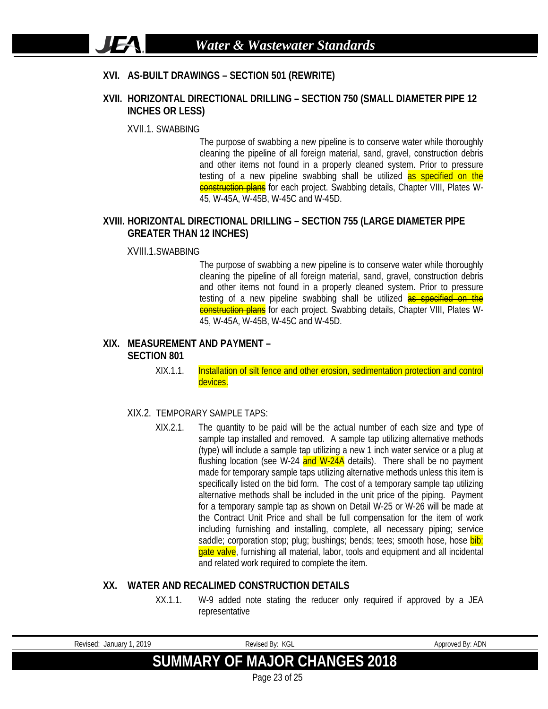# **XVI. AS-BUILT DRAWINGS – SECTION 501 (REWRITE)**

# **XVII. HORIZONTAL DIRECTIONAL DRILLING – SECTION 750 (SMALL DIAMETER PIPE 12 INCHES OR LESS)**

XVII.1. SWABBING

**JEA** 

The purpose of swabbing a new pipeline is to conserve water while thoroughly cleaning the pipeline of all foreign material, sand, gravel, construction debris and other items not found in a properly cleaned system. Prior to pressure testing of a new pipeline swabbing shall be utilized **as specified on the** construction plans for each project. Swabbing details, Chapter VIII, Plates W-45, W-45A, W-45B, W-45C and W-45D.

# **XVIII. HORIZONTAL DIRECTIONAL DRILLING – SECTION 755 (LARGE DIAMETER PIPE GREATER THAN 12 INCHES)**

XVIII.1.SWABBING

The purpose of swabbing a new pipeline is to conserve water while thoroughly cleaning the pipeline of all foreign material, sand, gravel, construction debris and other items not found in a properly cleaned system. Prior to pressure testing of a new pipeline swabbing shall be utilized as specified on the construction plans for each project. Swabbing details, Chapter VIII, Plates W-45, W-45A, W-45B, W-45C and W-45D.

#### **XIX. MEASUREMENT AND PAYMENT – SECTION 801**

- XIX.1.1. Installation of silt fence and other erosion, sedimentation protection and control devices.
- XIX.2. TEMPORARY SAMPLE TAPS:
	- XIX.2.1. The quantity to be paid will be the actual number of each size and type of sample tap installed and removed. A sample tap utilizing alternative methods (type) will include a sample tap utilizing a new 1 inch water service or a plug at flushing location (see W-24 and W-24A details). There shall be no payment made for temporary sample taps utilizing alternative methods unless this item is specifically listed on the bid form. The cost of a temporary sample tap utilizing alternative methods shall be included in the unit price of the piping. Payment for a temporary sample tap as shown on Detail W-25 or W-26 will be made at the Contract Unit Price and shall be full compensation for the item of work including furnishing and installing, complete, all necessary piping; service saddle; corporation stop; plug; bushings; bends; tees; smooth hose, hose bib; gate valve, furnishing all material, labor, tools and equipment and all incidental and related work required to complete the item.

# **XX. WATER AND RECALIMED CONSTRUCTION DETAILS**

XX.1.1. W-9 added note stating the reducer only required if approved by a JEA representative

| . 2019<br>Revised:<br>January 1 | Revised By: KGL                      | Approved By: ADN |
|---------------------------------|--------------------------------------|------------------|
|                                 | <b>SUMMARY OF MAJOR CHANGES 2018</b> |                  |
|                                 | $\sim$ $\sim$ $\sim$                 |                  |

Page 23 of 25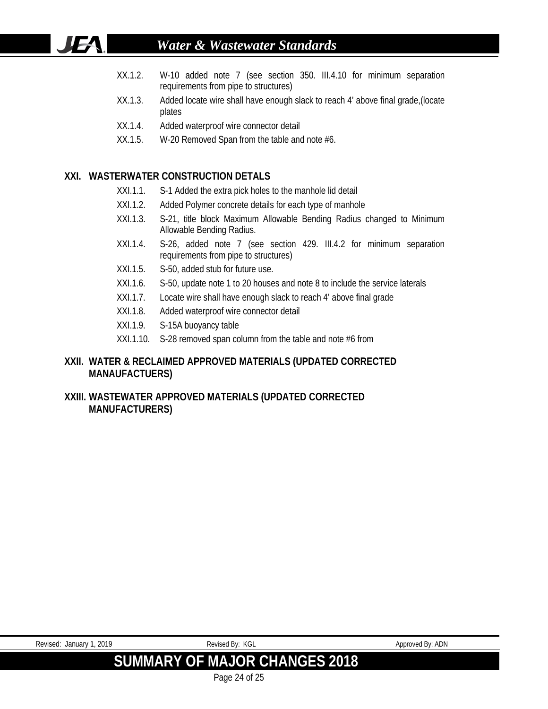# *Water & Wastewater Standards*

- XX.1.2. W-10 added note 7 (see section 350. III.4.10 for minimum separation requirements from pipe to structures)
- XX.1.3. Added locate wire shall have enough slack to reach 4' above final grade,(locate plates
- XX.1.4. Added waterproof wire connector detail
- XX.1.5. W-20 Removed Span from the table and note #6.

# **XXI. WASTERWATER CONSTRUCTION DETALS**

**JEA** 

- XXI.1.1. S-1 Added the extra pick holes to the manhole lid detail
- XXI.1.2. Added Polymer concrete details for each type of manhole
- XXI.1.3. S-21, title block Maximum Allowable Bending Radius changed to Minimum Allowable Bending Radius.
- XXI.1.4. S-26, added note 7 (see section 429. III.4.2 for minimum separation requirements from pipe to structures)
- XXI.1.5. S-50, added stub for future use.
- XXI.1.6. S-50, update note 1 to 20 houses and note 8 to include the service laterals
- XXI.1.7. Locate wire shall have enough slack to reach 4' above final grade
- XXI.1.8. Added waterproof wire connector detail
- XXI.1.9. S-15A buoyancy table
- XXI.1.10. S-28 removed span column from the table and note #6 from

# **XXII. WATER & RECLAIMED APPROVED MATERIALS (UPDATED CORRECTED MANAUFACTUERS)**

# **XXIII. WASTEWATER APPROVED MATERIALS (UPDATED CORRECTED MANUFACTURERS)**

| , 2019<br>Revised:<br>January " | Revised By: KGL                      | Approved By: ADN |
|---------------------------------|--------------------------------------|------------------|
|                                 | <b>SUMMARY OF MAJOR CHANGES 2018</b> |                  |

Page 24 of 25